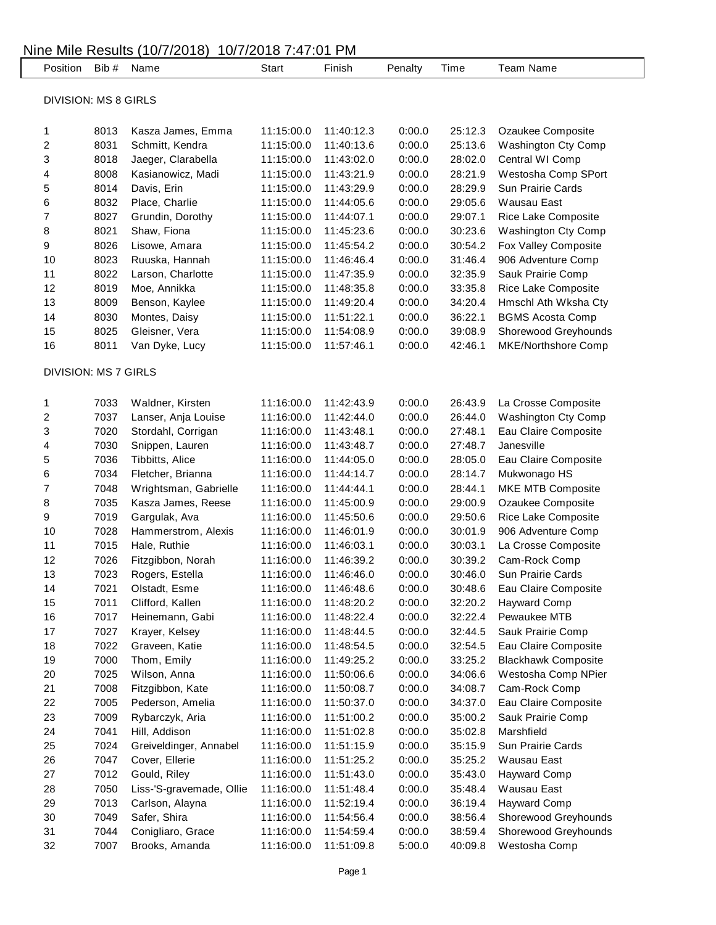|                             | Position                    | Bib # | Name                     | <b>Start</b> | Finish     | Penalty | Time    | Team Name                  |  |  |
|-----------------------------|-----------------------------|-------|--------------------------|--------------|------------|---------|---------|----------------------------|--|--|
| <b>DIVISION: MS 8 GIRLS</b> |                             |       |                          |              |            |         |         |                            |  |  |
|                             |                             |       |                          |              |            |         |         |                            |  |  |
|                             | 1                           | 8013  | Kasza James, Emma        | 11:15:00.0   | 11:40:12.3 | 0:00.0  | 25:12.3 | Ozaukee Composite          |  |  |
|                             | 2                           | 8031  | Schmitt, Kendra          | 11:15:00.0   | 11:40:13.6 | 0:00.0  | 25:13.6 | Washington Cty Comp        |  |  |
|                             | 3                           | 8018  | Jaeger, Clarabella       | 11:15:00.0   | 11:43:02.0 | 0:00.0  | 28:02.0 | Central WI Comp            |  |  |
|                             | 4                           | 8008  | Kasianowicz, Madi        | 11:15:00.0   | 11:43:21.9 | 0:00.0  | 28:21.9 | Westosha Comp SPort        |  |  |
|                             | 5                           | 8014  | Davis, Erin              | 11:15:00.0   | 11:43:29.9 | 0:00.0  | 28:29.9 | Sun Prairie Cards          |  |  |
|                             | 6                           | 8032  | Place, Charlie           | 11:15:00.0   | 11:44:05.6 | 0:00.0  | 29:05.6 | <b>Wausau East</b>         |  |  |
|                             | 7                           | 8027  | Grundin, Dorothy         | 11:15:00.0   | 11:44:07.1 | 0:00.0  | 29:07.1 | Rice Lake Composite        |  |  |
|                             | 8                           | 8021  | Shaw, Fiona              | 11:15:00.0   | 11:45:23.6 | 0:00.0  | 30:23.6 | Washington Cty Comp        |  |  |
|                             | 9                           | 8026  | Lisowe, Amara            | 11:15:00.0   | 11:45:54.2 | 0:00.0  | 30:54.2 | Fox Valley Composite       |  |  |
|                             | 10                          | 8023  | Ruuska, Hannah           | 11:15:00.0   | 11:46:46.4 | 0:00.0  | 31:46.4 | 906 Adventure Comp         |  |  |
|                             | 11                          | 8022  | Larson, Charlotte        | 11:15:00.0   | 11:47:35.9 | 0:00.0  | 32:35.9 | Sauk Prairie Comp          |  |  |
|                             | 12                          | 8019  | Moe, Annikka             | 11:15:00.0   | 11:48:35.8 | 0:00.0  | 33:35.8 | Rice Lake Composite        |  |  |
|                             | 13                          | 8009  | Benson, Kaylee           | 11:15:00.0   | 11:49:20.4 | 0:00.0  | 34:20.4 | Hmschl Ath Wksha Cty       |  |  |
|                             | 14                          | 8030  | Montes, Daisy            | 11:15:00.0   | 11:51:22.1 | 0:00.0  | 36:22.1 | <b>BGMS Acosta Comp</b>    |  |  |
|                             | 15                          | 8025  | Gleisner, Vera           | 11:15:00.0   | 11:54:08.9 | 0:00.0  | 39:08.9 | Shorewood Greyhounds       |  |  |
|                             | 16                          | 8011  | Van Dyke, Lucy           | 11:15:00.0   | 11:57:46.1 | 0:00.0  | 42:46.1 | MKE/Northshore Comp        |  |  |
|                             | <b>DIVISION: MS 7 GIRLS</b> |       |                          |              |            |         |         |                            |  |  |
|                             |                             |       |                          |              |            |         |         |                            |  |  |
|                             | 1                           | 7033  | Waldner, Kirsten         | 11:16:00.0   | 11:42:43.9 | 0:00.0  | 26:43.9 | La Crosse Composite        |  |  |
|                             | 2                           | 7037  | Lanser, Anja Louise      | 11:16:00.0   | 11:42:44.0 | 0:00.0  | 26:44.0 | Washington Cty Comp        |  |  |
|                             | 3                           | 7020  | Stordahl, Corrigan       | 11:16:00.0   | 11:43:48.1 | 0:00.0  | 27:48.1 | Eau Claire Composite       |  |  |
|                             | 4                           | 7030  | Snippen, Lauren          | 11:16:00.0   | 11:43:48.7 | 0:00.0  | 27:48.7 | Janesville                 |  |  |
|                             | 5                           | 7036  | Tibbitts, Alice          | 11:16:00.0   | 11:44:05.0 | 0:00.0  | 28:05.0 | Eau Claire Composite       |  |  |
|                             | 6                           | 7034  | Fletcher, Brianna        | 11:16:00.0   | 11:44:14.7 | 0:00.0  | 28:14.7 | Mukwonago HS               |  |  |
|                             | 7                           | 7048  | Wrightsman, Gabrielle    | 11:16:00.0   | 11:44:44.1 | 0:00.0  | 28:44.1 | MKE MTB Composite          |  |  |
|                             | 8                           | 7035  | Kasza James, Reese       | 11:16:00.0   | 11:45:00.9 | 0:00.0  | 29:00.9 | Ozaukee Composite          |  |  |
|                             | 9                           | 7019  | Gargulak, Ava            | 11:16:00.0   | 11:45:50.6 | 0:00.0  | 29:50.6 | Rice Lake Composite        |  |  |
|                             | 10                          | 7028  | Hammerstrom, Alexis      | 11:16:00.0   | 11:46:01.9 | 0:00.0  | 30:01.9 | 906 Adventure Comp         |  |  |
|                             | 11                          | 7015  | Hale, Ruthie             | 11:16:00.0   | 11:46:03.1 | 0:00.0  | 30:03.1 | La Crosse Composite        |  |  |
|                             | 12                          | 7026  | Fitzgibbon, Norah        | 11:16:00.0   | 11:46:39.2 | 0:00.0  | 30:39.2 | Cam-Rock Comp              |  |  |
|                             | 13                          | 7023  | Rogers, Estella          | 11:16:00.0   | 11:46:46.0 | 0:00.0  | 30:46.0 | Sun Prairie Cards          |  |  |
|                             | 14                          | 7021  | Olstadt, Esme            | 11:16:00.0   | 11:46:48.6 | 0:00.0  | 30:48.6 | Eau Claire Composite       |  |  |
|                             | 15                          | 7011  | Clifford, Kallen         | 11:16:00.0   | 11:48:20.2 | 0:00.0  | 32:20.2 | <b>Hayward Comp</b>        |  |  |
|                             | 16                          | 7017  | Heinemann, Gabi          | 11:16:00.0   | 11:48:22.4 | 0:00.0  | 32:22.4 | Pewaukee MTB               |  |  |
|                             | 17                          | 7027  | Krayer, Kelsey           | 11:16:00.0   | 11:48:44.5 | 0:00.0  | 32:44.5 | Sauk Prairie Comp          |  |  |
|                             | 18                          | 7022  | Graveen, Katie           | 11:16:00.0   | 11:48:54.5 | 0:00.0  | 32:54.5 | Eau Claire Composite       |  |  |
|                             | 19                          | 7000  | Thom, Emily              | 11:16:00.0   | 11:49:25.2 | 0:00.0  | 33:25.2 | <b>Blackhawk Composite</b> |  |  |
|                             | 20                          | 7025  | Wilson, Anna             | 11:16:00.0   | 11:50:06.6 | 0:00.0  | 34:06.6 | Westosha Comp NPier        |  |  |
|                             | 21                          | 7008  | Fitzgibbon, Kate         | 11:16:00.0   | 11:50:08.7 | 0:00.0  | 34:08.7 | Cam-Rock Comp              |  |  |
|                             | 22                          | 7005  | Pederson, Amelia         | 11:16:00.0   | 11:50:37.0 | 0:00.0  | 34:37.0 | Eau Claire Composite       |  |  |
|                             | 23                          | 7009  | Rybarczyk, Aria          | 11:16:00.0   | 11:51:00.2 | 0:00.0  | 35:00.2 | Sauk Prairie Comp          |  |  |
|                             | 24                          | 7041  | Hill, Addison            | 11:16:00.0   | 11:51:02.8 | 0:00.0  | 35:02.8 | Marshfield                 |  |  |
|                             | 25                          | 7024  | Greiveldinger, Annabel   | 11:16:00.0   | 11:51:15.9 | 0:00.0  | 35:15.9 | Sun Prairie Cards          |  |  |
|                             | 26                          | 7047  | Cover, Ellerie           | 11:16:00.0   | 11:51:25.2 | 0:00.0  | 35:25.2 | Wausau East                |  |  |
|                             | 27                          | 7012  | Gould, Riley             | 11:16:00.0   | 11:51:43.0 | 0:00.0  | 35:43.0 | <b>Hayward Comp</b>        |  |  |
|                             | 28                          | 7050  | Liss-'S-gravemade, Ollie | 11:16:00.0   | 11:51:48.4 | 0:00.0  | 35:48.4 | Wausau East                |  |  |
|                             | 29                          | 7013  | Carlson, Alayna          | 11:16:00.0   | 11:52:19.4 | 0:00.0  | 36:19.4 | <b>Hayward Comp</b>        |  |  |
|                             | 30                          | 7049  | Safer, Shira             | 11:16:00.0   | 11:54:56.4 | 0:00.0  | 38:56.4 | Shorewood Greyhounds       |  |  |
|                             | 31                          | 7044  | Conigliaro, Grace        | 11:16:00.0   | 11:54:59.4 | 0:00.0  | 38:59.4 | Shorewood Greyhounds       |  |  |
|                             | 32                          | 7007  | Brooks, Amanda           | 11:16:00.0   | 11:51:09.8 | 5:00.0  | 40:09.8 | Westosha Comp              |  |  |
|                             |                             |       |                          |              |            |         |         |                            |  |  |